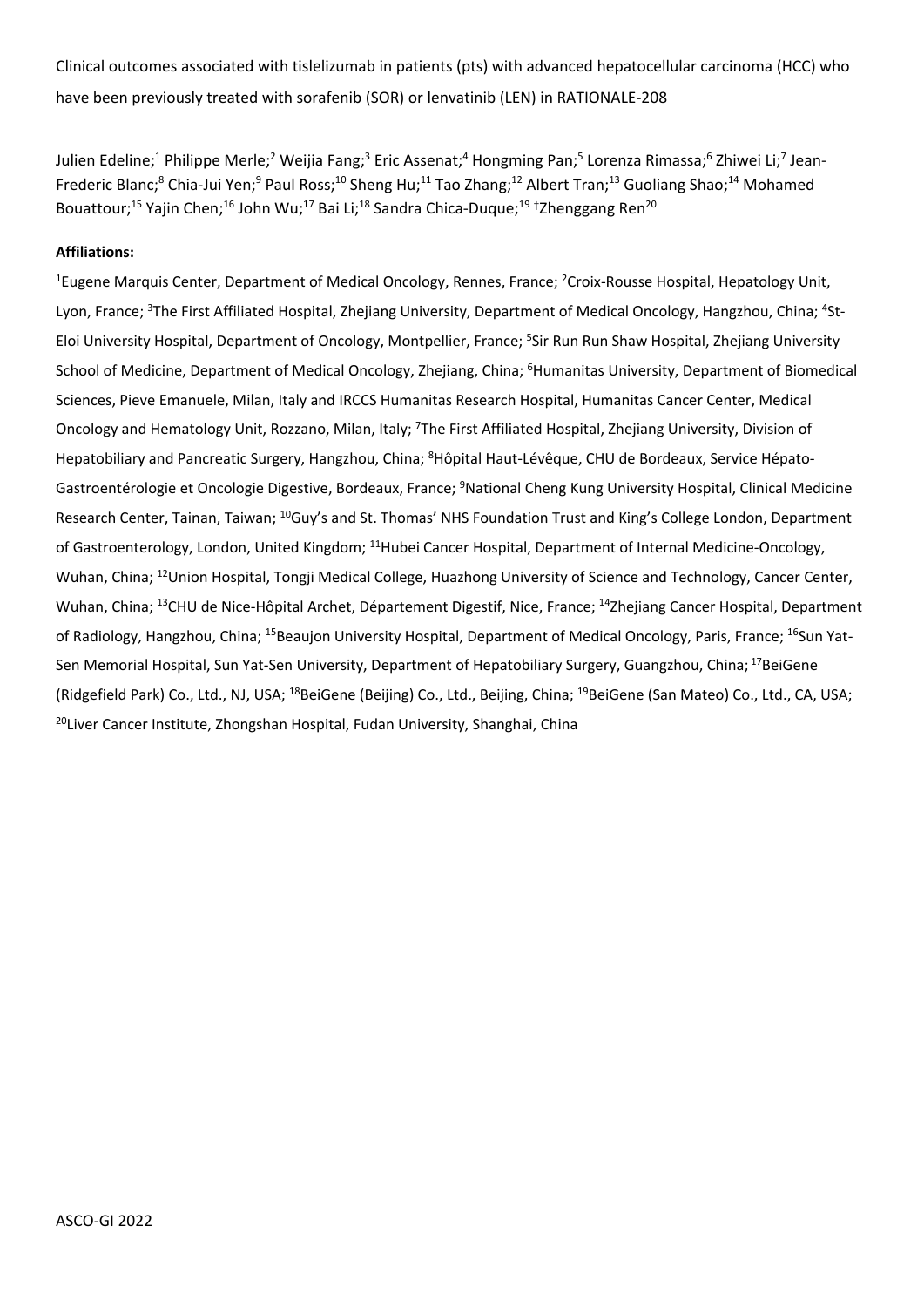Clinical outcomes associated with tislelizumab in patients (pts) with advanced hepatocellular carcinoma (HCC) who have been previously treated with sorafenib (SOR) or lenvatinib (LEN) in RATIONALE-208

Julien Edeline;<sup>1</sup> Philippe Merle;<sup>2</sup> Weijia Fang;<sup>3</sup> Eric Assenat;<sup>4</sup> Hongming Pan;<sup>5</sup> Lorenza Rimassa;<sup>6</sup> Zhiwei Li;<sup>7</sup> Jean-Frederic Blanc;<sup>8</sup> Chia-Jui Yen;<sup>9</sup> Paul Ross;<sup>10</sup> Sheng Hu;<sup>11</sup> Tao Zhang;<sup>12</sup> Albert Tran;<sup>13</sup> Guoliang Shao;<sup>14</sup> Mohamed Bouattour;<sup>15</sup> Yajin Chen;<sup>16</sup> John Wu;<sup>17</sup> Bai Li;<sup>18</sup> Sandra Chica-Duque;<sup>19</sup> <sup>†</sup>Zhenggang Ren<sup>20</sup>

# **Affiliations:**

<sup>1</sup>Eugene Marquis Center, Department of Medical Oncology, Rennes, France; <sup>2</sup>Croix-Rousse Hospital, Hepatology Unit, Lyon, France; 3The First Affiliated Hospital, Zhejiang University, Department of Medical Oncology, Hangzhou, China; 4St-Eloi University Hospital, Department of Oncology, Montpellier, France; <sup>5</sup>Sir Run Run Shaw Hospital, Zhejiang University School of Medicine, Department of Medical Oncology, Zhejiang, China; <sup>6</sup>Humanitas University, Department of Biomedical Sciences, Pieve Emanuele, Milan, Italy and IRCCS Humanitas Research Hospital, Humanitas Cancer Center, Medical Oncology and Hematology Unit, Rozzano, Milan, Italy; <sup>7</sup>The First Affiliated Hospital, Zhejiang University, Division of Hepatobiliary and Pancreatic Surgery, Hangzhou, China; <sup>8</sup>Hôpital Haut-Lévêque, CHU de Bordeaux, Service Hépato-Gastroentérologie et Oncologie Digestive, Bordeaux, France; <sup>9</sup>National Cheng Kung University Hospital, Clinical Medicine Research Center, Tainan, Taiwan; <sup>10</sup>Guy's and St. Thomas' NHS Foundation Trust and King's College London, Department of Gastroenterology, London, United Kingdom; <sup>11</sup>Hubei Cancer Hospital, Department of Internal Medicine-Oncology, Wuhan, China; <sup>12</sup>Union Hospital, Tongji Medical College, Huazhong University of Science and Technology, Cancer Center, Wuhan, China; <sup>13</sup>CHU de Nice-Hôpital Archet, Département Digestif, Nice, France; <sup>14</sup>Zhejiang Cancer Hospital, Department of Radiology, Hangzhou, China; <sup>15</sup>Beaujon University Hospital, Department of Medical Oncology, Paris, France; <sup>16</sup>Sun Yat-Sen Memorial Hospital, Sun Yat-Sen University, Department of Hepatobiliary Surgery, Guangzhou, China; <sup>17</sup>BeiGene (Ridgefield Park) Co., Ltd., NJ, USA; <sup>18</sup>BeiGene (Beijing) Co., Ltd., Beijing, China; <sup>19</sup>BeiGene (San Mateo) Co., Ltd., CA, USA; <sup>20</sup>Liver Cancer Institute, Zhongshan Hospital, Fudan University, Shanghai, China